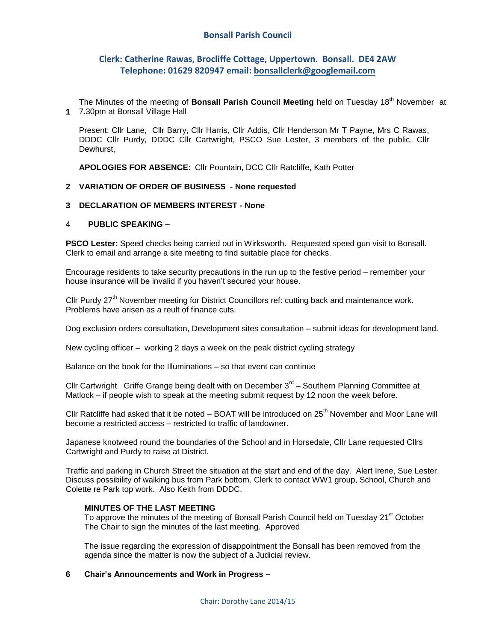## **Bonsall Parish Council**

# **Clerk: Catherine Rawas, Brocliffe Cottage, Uppertown. Bonsall. DE4 2AW Telephone: 01629 820947 email: bonsallclerk@googlemail.com**

**1** 7.30pm at Bonsall Village Hall The Minutes of the meeting of **Bonsall Parish Council Meeting** held on Tuesday 18<sup>th</sup> November at

Present: Cllr Lane, Cllr Barry, Cllr Harris, Cllr Addis, Cllr Henderson Mr T Payne, Mrs C Rawas, DDDC Cllr Purdy, DDDC Cllr Cartwright, PSCO Sue Lester, 3 members of the public, Cllr Dewhurst,

**APOLOGIES FOR ABSENCE**: Cllr Pountain, DCC Cllr Ratcliffe, Kath Potter

### **2 VARIATION OF ORDER OF BUSINESS - None requested**

#### **3 DECLARATION OF MEMBERS INTEREST - None**

### 4 **PUBLIC SPEAKING –**

**PSCO Lester:** Speed checks being carried out in Wirksworth. Requested speed gun visit to Bonsall. Clerk to email and arrange a site meeting to find suitable place for checks.

Encourage residents to take security precautions in the run up to the festive period – remember your house insurance will be invalid if you haven't secured your house.

Cllr Purdy  $27<sup>th</sup>$  November meeting for District Councillors ref: cutting back and maintenance work. Problems have arisen as a reult of finance cuts.

Dog exclusion orders consultation, Development sites consultation – submit ideas for development land.

New cycling officer – working 2 days a week on the peak district cycling strategy

Balance on the book for the Illuminations – so that event can continue

Cllr Cartwright. Griffe Grange being dealt with on December  $3<sup>rd</sup>$  – Southern Planning Committee at Matlock – if people wish to speak at the meeting submit request by 12 noon the week before.

Cllr Ratcliffe had asked that it be noted – BOAT will be introduced on  $25<sup>th</sup>$  November and Moor Lane will become a restricted access – restricted to traffic of landowner.

Japanese knotweed round the boundaries of the School and in Horsedale, Cllr Lane requested Cllrs Cartwright and Purdy to raise at District.

Traffic and parking in Church Street the situation at the start and end of the day. Alert Irene, Sue Lester. Discuss possibility of walking bus from Park bottom. Clerk to contact WW1 group, School, Church and Colette re Park top work. Also Keith from DDDC.

#### **MINUTES OF THE LAST MEETING**

To approve the minutes of the meeting of Bonsall Parish Council held on Tuesday 21<sup>st</sup> October The Chair to sign the minutes of the last meeting. Approved

The issue regarding the expression of disappointment the Bonsall has been removed from the agenda since the matter is now the subject of a Judicial review.

#### **6 Chair's Announcements and Work in Progress –**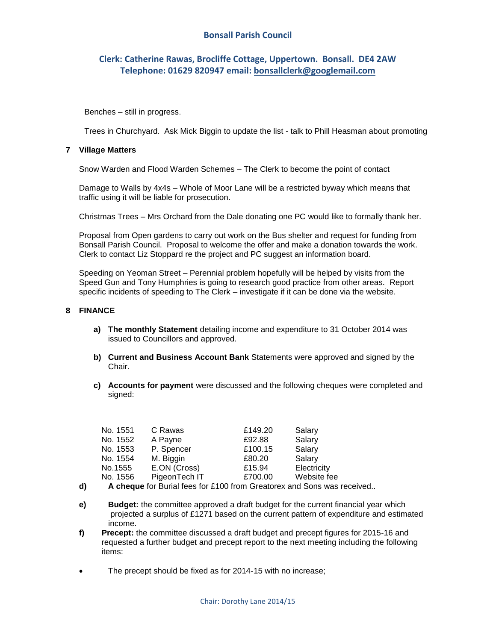## **Bonsall Parish Council**

# **Clerk: Catherine Rawas, Brocliffe Cottage, Uppertown. Bonsall. DE4 2AW Telephone: 01629 820947 email: bonsallclerk@googlemail.com**

Benches – still in progress.

Trees in Churchyard. Ask Mick Biggin to update the list - talk to Phill Heasman about promoting

#### **7 Village Matters**

Snow Warden and Flood Warden Schemes – The Clerk to become the point of contact

Damage to Walls by 4x4s – Whole of Moor Lane will be a restricted byway which means that traffic using it will be liable for prosecution.

Christmas Trees – Mrs Orchard from the Dale donating one PC would like to formally thank her.

Proposal from Open gardens to carry out work on the Bus shelter and request for funding from Bonsall Parish Council. Proposal to welcome the offer and make a donation towards the work. Clerk to contact Liz Stoppard re the project and PC suggest an information board.

Speeding on Yeoman Street – Perennial problem hopefully will be helped by visits from the Speed Gun and Tony Humphries is going to research good practice from other areas. Report specific incidents of speeding to The Clerk – investigate if it can be done via the website.

### **8 FINANCE**

- **a) The monthly Statement** detailing income and expenditure to 31 October 2014 was issued to Councillors and approved.
- **b) Current and Business Account Bank** Statements were approved and signed by the Chair.
- **c) Accounts for payment** were discussed and the following cheques were completed and signed:

| No. 1551 | C Rawas       | £149.20 | Salary      |
|----------|---------------|---------|-------------|
| No. 1552 | A Payne       | £92.88  | Salary      |
| No. 1553 | P. Spencer    | £100.15 | Salary      |
| No. 1554 | M. Biggin     | £80.20  | Salary      |
| No.1555  | E.ON (Cross)  | £15.94  | Electricity |
| No. 1556 | PigeonTech IT | £700.00 | Website fee |

- **d) A cheque** for Burial fees for £100 from Greatorex and Sons was received..
- **e) Budget:** the committee approved a draft budget for the current financial year which projected a surplus of £1271 based on the current pattern of expenditure and estimated income.
- **f) Precept:** the committee discussed a draft budget and precept figures for 2015-16 and requested a further budget and precept report to the next meeting including the following items:
- The precept should be fixed as for 2014-15 with no increase;